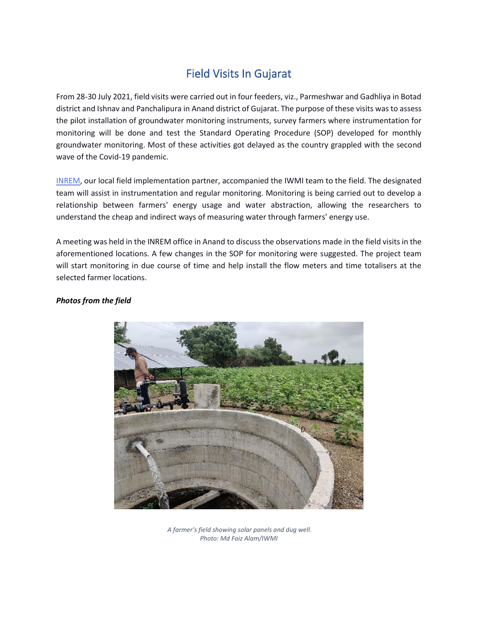## Field Visits In Gujarat

From 28-30 July 2021, field visits were carried out in four feeders, viz., Parmeshwar and Gadhliya in Botad district and Ishnav and Panchalipura in Anand district of Gujarat. The purpose of these visits was to assess the pilot installation of groundwater monitoring instruments, survey farmers where instrumentation for monitoring will be done and test the Standard Operating Procedure (SOP) developed for monthly groundwater monitoring. Most of these activities got delayed as the country grappled with the second wave of the Covid-19 pandemic.

[INREM,](http://inremfoundation.org/aboutus.html) our local field implementation partner, accompanied the IWMI team to the field. The designated team will assist in instrumentation and regular monitoring. Monitoring is being carried out to develop a relationship between farmers' energy usage and water abstraction, allowing the researchers to understand the cheap and indirect ways of measuring water through farmers' energy use.

A meeting was held in the INREM office in Anand to discuss the observations made in the field visits in the aforementioned locations. A few changes in the SOP for monitoring were suggested. The project team will start monitoring in due course of time and help install the flow meters and time totalisers at the selected farmer locations.

## *Photos from the field*



*A farmer's field showing solar panels and dug well. Photo: Md Faiz Alam/IWMI*